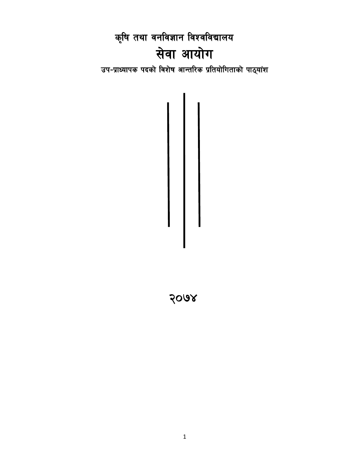कृषि तथा वनविज्ञान विश्वविद्यालय सेवा आयोग उप-प्राध्यापक पदको विशेष आन्तरिक प्रतियोगिताको पाठ्यांश

2008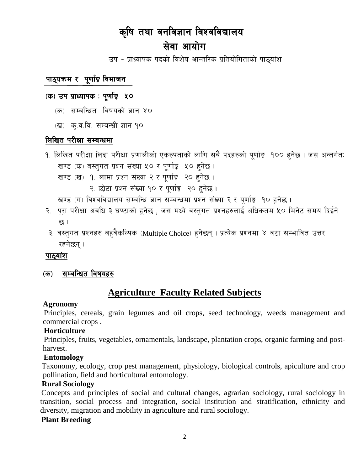# कृषि तथा वनविज्ञान विश्वविद्यालय सेवा आयोग

उप - प्राध्यापक पदको विशेष आन्तरिक प्रतियोगिताको पाठुयांश

## पाठ्यक्रम र पूर्णाङ्ग विभाजन

### (क) उप प्राध्यापक : पूर्णाङ्क ५०

- (क) सम्बन्धित विषयको ज्ञान ४०
- (ख) कृ.व.वि. सम्बन्धी ज्ञान १०

## लिखित परीक्षा सम्बन्धमा

- १. लिखित परीक्षा लिंदा परीक्षा प्रणालीको एकरुपताको लागि सबै पदहरुको पर्णाङ्क १०० हुनेछ । जस अन्तर्गत: खण्ड (क) वस्तुगत प्रश्न संख्या ५० र पूर्णाङ्क ५० हुनेछ ।
	- खण्ड (ख) १. लामा प्रश्न संख्या २ र पूर्णाङ़ २० हुनेछ।
		- २. छोटा प्रश्न संख्या १० र पूर्णाङ्क २० हुनेछ।

खण्ड (ग) विश्वविद्यालय सम्बन्धि ज्ञान सम्बन्धमा प्रश्न संख्या २ र पूर्णाङ्क १० हुनेछ ।

- २. पूरा परीक्षा अवधि ३ घण्टाको हुनेछ , जस मध्ये वस्तुगत प्रश्नहरुलाई अधिकतम ५० मिनेट समय दिईने छ ।
- ३. वस्तुगत प्रश्नहरु बहुवैकल्पिक (Multiple Choice) हुनेछन् । प्रत्येक प्रश्नमा ४ वटा सम्भावित उत्तर रहनेछन् ।

#### पाठ्यांश

(क) सम्बन्धित विषयहरु

## **Agriculture Faculty Related Subjects**

#### **Agronomy**

Principles, cereals, grain legumes and oil crops, seed technology, weeds management and commercial crops.

#### Horticulture

Principles, fruits, vegetables, ornamentals, landscape, plantation crops, organic farming and postharvest.

#### **Entomology**

Taxonomy, ecology, crop pest management, physiology, biological controls, apiculture and crop pollination, field and horticultural entomology.

#### **Rural Sociology**

Concepts and principles of social and cultural changes, agrarian sociology, rural sociology in transition, social process and integration, social institution and stratification, ethnicity and diversity, migration and mobility in agriculture and rural sociology.

#### **Plant Breeding**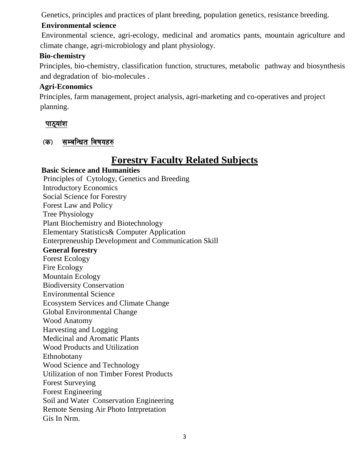Genetics, principles and practices of plant breeding, population genetics, resistance breeding.

## **Environmental science**

Environmental science, agri-ecology, medicinal and aromatics pants, mountain agriculture and climate change, agri-microbiology and plant physiology.

## **Bio-chemistry**

Principles, bio-chemistry, classification function, structures, metabolic pathway and biosynthesis and degradation of bio-molecules .

### **Agri-Economics**

Principles, farm management, project analysis, agri-marketing and co-operatives and project planning.

## पाठ्यांश

## (क) सम्बन्धित विषयहरु

# **Forestry Faculty Related Subjects**

 **Basic Science and Humanities** Principles of Cytology, Genetics and Breeding Introductory Economics Social Science for Forestry Forest Law and Policy Tree Physiology Plant Biochemistry and Biotechnology Elementary Statistics& Computer Application Enterpreneuship Development and Communication Skill **General forestry**  Forest Ecology Fire Ecology Mountain Ecology Biodiversity Conservation Environmental Science Ecosystem Services and Climate Change Global Environmental Change Wood Anatomy Harvesting and Logging Medicinal and Aromatic Plants Wood Products and Utilization Ethnobotany Wood Science and Technology Utilization of non Timber Forest Products Forest Surveying Forest Engineering Soil and Water Conservation Engineering Remote Sensing Air Photo Intrpretation Gis In Nrm.